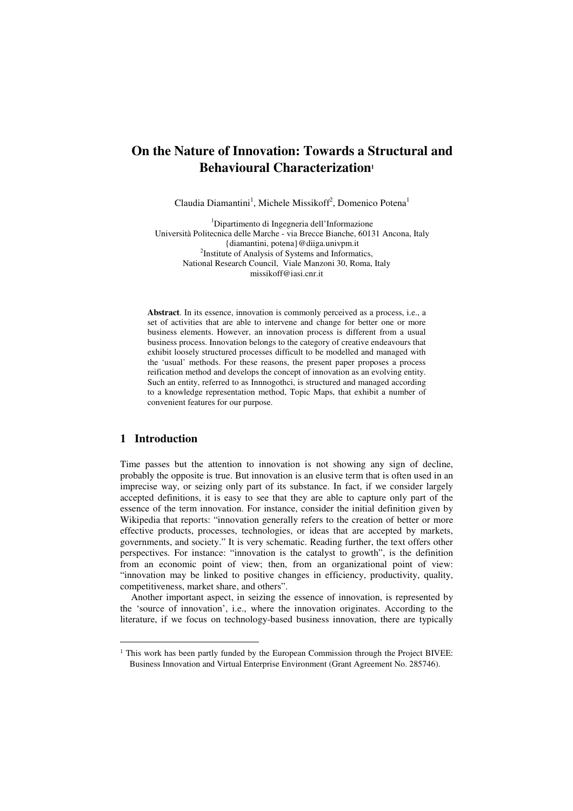# **On the Nature of Innovation: Towards a Structural and Behavioural Characterization<sup>1</sup>**

Claudia Diamantini<sup>1</sup>, Michele Missikoff<sup>2</sup>, Domenico Potena<sup>1</sup>

<sup>1</sup>Dipartimento di Ingegneria dell'Informazione Università Politecnica delle Marche - via Brecce Bianche, 60131 Ancona, Italy {diamantini, potena}@diiga.univpm.it <sup>2</sup>Institute of Analysis of Systems and Informatics, National Research Council, Viale Manzoni 30, Roma, Italy missikoff@iasi.cnr.it

**Abstract**. In its essence, innovation is commonly perceived as a process, i.e., a set of activities that are able to intervene and change for better one or more business elements. However, an innovation process is different from a usual business process. Innovation belongs to the category of creative endeavours that exhibit loosely structured processes difficult to be modelled and managed with the 'usual' methods. For these reasons, the present paper proposes a process reification method and develops the concept of innovation as an evolving entity. Such an entity, referred to as Innnogothci, is structured and managed according to a knowledge representation method, Topic Maps, that exhibit a number of convenient features for our purpose.

## **1 Introduction**

 $\overline{a}$ 

Time passes but the attention to innovation is not showing any sign of decline, probably the opposite is true. But innovation is an elusive term that is often used in an imprecise way, or seizing only part of its substance. In fact, if we consider largely accepted definitions, it is easy to see that they are able to capture only part of the essence of the term innovation. For instance, consider the initial definition given by Wikipedia that reports: "innovation generally refers to the creation of better or more effective products, processes, technologies, or ideas that are accepted by markets, governments, and society." It is very schematic. Reading further, the text offers other perspectives. For instance: "innovation is the catalyst to growth", is the definition from an economic point of view; then, from an organizational point of view: "innovation may be linked to positive changes in efficiency, productivity, quality, competitiveness, market share, and others".

Another important aspect, in seizing the essence of innovation, is represented by the 'source of innovation', i.e., where the innovation originates. According to the literature, if we focus on technology-based business innovation, there are typically

<sup>&</sup>lt;sup>1</sup> This work has been partly funded by the European Commission through the Project BIVEE: Business Innovation and Virtual Enterprise Environment (Grant Agreement No. 285746).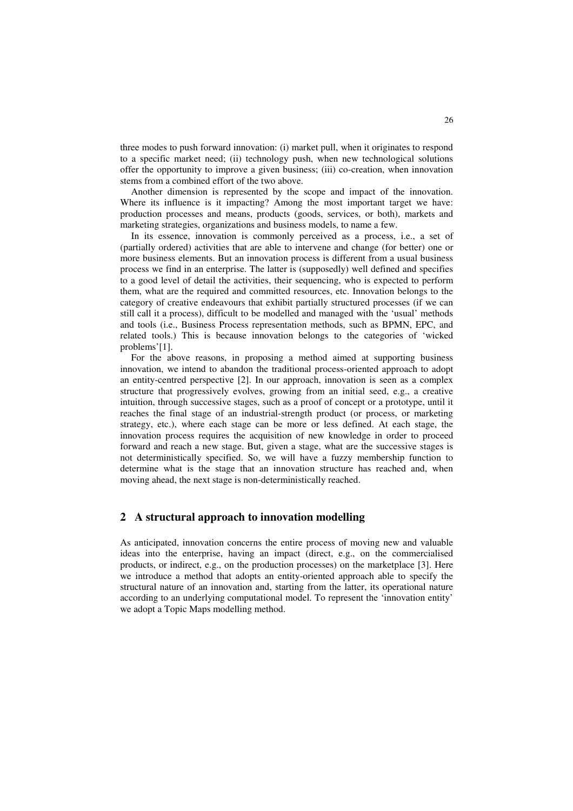three modes to push forward innovation: (i) market pull, when it originates to respond to a specific market need; (ii) technology push, when new technological solutions offer the opportunity to improve a given business; (iii) co-creation, when innovation stems from a combined effort of the two above.

Another dimension is represented by the scope and impact of the innovation. Where its influence is it impacting? Among the most important target we have: production processes and means, products (goods, services, or both), markets and marketing strategies, organizations and business models, to name a few.

In its essence, innovation is commonly perceived as a process, i.e., a set of (partially ordered) activities that are able to intervene and change (for better) one or more business elements. But an innovation process is different from a usual business process we find in an enterprise. The latter is (supposedly) well defined and specifies to a good level of detail the activities, their sequencing, who is expected to perform them, what are the required and committed resources, etc. Innovation belongs to the category of creative endeavours that exhibit partially structured processes (if we can still call it a process), difficult to be modelled and managed with the 'usual' methods and tools (i.e., Business Process representation methods, such as BPMN, EPC, and related tools.) This is because innovation belongs to the categories of 'wicked problems'[1].

For the above reasons, in proposing a method aimed at supporting business innovation, we intend to abandon the traditional process-oriented approach to adopt an entity-centred perspective [2]. In our approach, innovation is seen as a complex structure that progressively evolves, growing from an initial seed, e.g., a creative intuition, through successive stages, such as a proof of concept or a prototype, until it reaches the final stage of an industrial-strength product (or process, or marketing strategy, etc.), where each stage can be more or less defined. At each stage, the innovation process requires the acquisition of new knowledge in order to proceed forward and reach a new stage. But, given a stage, what are the successive stages is not deterministically specified. So, we will have a fuzzy membership function to determine what is the stage that an innovation structure has reached and, when moving ahead, the next stage is non-deterministically reached.

#### **2 A structural approach to innovation modelling**

As anticipated, innovation concerns the entire process of moving new and valuable ideas into the enterprise, having an impact (direct, e.g., on the commercialised products, or indirect, e.g., on the production processes) on the marketplace [3]. Here we introduce a method that adopts an entity-oriented approach able to specify the structural nature of an innovation and, starting from the latter, its operational nature according to an underlying computational model. To represent the 'innovation entity' we adopt a Topic Maps modelling method.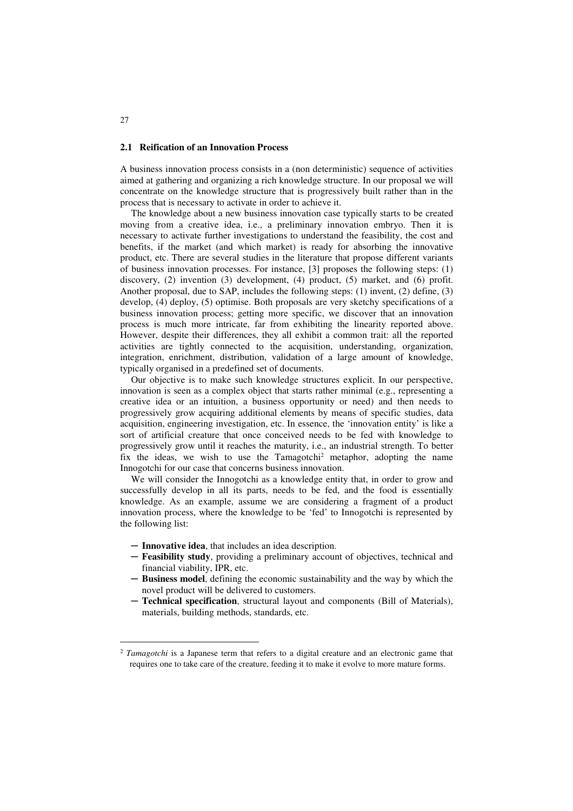#### **2.1 Reification of an Innovation Process**

A business innovation process consists in a (non deterministic) sequence of activities aimed at gathering and organizing a rich knowledge structure. In our proposal we will concentrate on the knowledge structure that is progressively built rather than in the process that is necessary to activate in order to achieve it.

The knowledge about a new business innovation case typically starts to be created moving from a creative idea, i.e., a preliminary innovation embryo. Then it is necessary to activate further investigations to understand the feasibility, the cost and benefits, if the market (and which market) is ready for absorbing the innovative product, etc. There are several studies in the literature that propose different variants of business innovation processes. For instance, [3] proposes the following steps: (1) discovery, (2) invention (3) development, (4) product, (5) market, and (6) profit. Another proposal, due to SAP, includes the following steps: (1) invent, (2) define, (3) develop, (4) deploy, (5) optimise. Both proposals are very sketchy specifications of a business innovation process; getting more specific, we discover that an innovation process is much more intricate, far from exhibiting the linearity reported above. However, despite their differences, they all exhibit a common trait: all the reported activities are tightly connected to the acquisition, understanding, organization, integration, enrichment, distribution, validation of a large amount of knowledge, typically organised in a predefined set of documents.

Our objective is to make such knowledge structures explicit. In our perspective, innovation is seen as a complex object that starts rather minimal (e.g., representing a creative idea or an intuition, a business opportunity or need) and then needs to progressively grow acquiring additional elements by means of specific studies, data acquisition, engineering investigation, etc. In essence, the 'innovation entity' is like a sort of artificial creature that once conceived needs to be fed with knowledge to progressively grow until it reaches the maturity, i.e., an industrial strength. To better fix the ideas, we wish to use the Tamagotchi<sup>2</sup> metaphor, adopting the name Innogotchi for our case that concerns business innovation.

We will consider the Innogotchi as a knowledge entity that, in order to grow and successfully develop in all its parts, needs to be fed, and the food is essentially knowledge. As an example, assume we are considering a fragment of a product innovation process, where the knowledge to be 'fed' to Innogotchi is represented by the following list:

- ─ **Innovative idea**, that includes an idea description.
- ─ **Feasibility study**, providing a preliminary account of objectives, technical and financial viability, IPR, etc.
- ─ **Business model**, defining the economic sustainability and the way by which the novel product will be delivered to customers.
- Technical specification, structural layout and components (Bill of Materials), materials, building methods, standards, etc.

 $27$ 

 $\overline{a}$ 

<sup>&</sup>lt;sup>2</sup> *Tamagotchi* is a Japanese term that refers to a digital creature and an electronic game that requires one to take care of the creature, feeding it to make it evolve to more mature forms.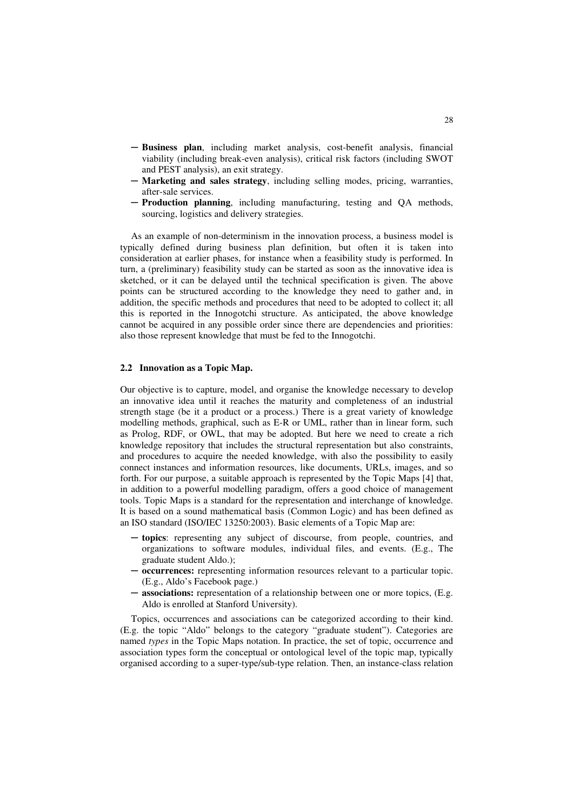- ─ **Business plan**, including market analysis, cost-benefit analysis, financial viability (including break-even analysis), critical risk factors (including SWOT and PEST analysis), an exit strategy.
- ─ **Marketing and sales strategy**, including selling modes, pricing, warranties, after-sale services.
- Production planning, including manufacturing, testing and QA methods, sourcing, logistics and delivery strategies.

As an example of non-determinism in the innovation process, a business model is typically defined during business plan definition, but often it is taken into consideration at earlier phases, for instance when a feasibility study is performed. In turn, a (preliminary) feasibility study can be started as soon as the innovative idea is sketched, or it can be delayed until the technical specification is given. The above points can be structured according to the knowledge they need to gather and, in addition, the specific methods and procedures that need to be adopted to collect it; all this is reported in the Innogotchi structure. As anticipated, the above knowledge cannot be acquired in any possible order since there are dependencies and priorities: also those represent knowledge that must be fed to the Innogotchi.

#### **2.2 Innovation as a Topic Map.**

Our objective is to capture, model, and organise the knowledge necessary to develop an innovative idea until it reaches the maturity and completeness of an industrial strength stage (be it a product or a process.) There is a great variety of knowledge modelling methods, graphical, such as E-R or UML, rather than in linear form, such as Prolog, RDF, or OWL, that may be adopted. But here we need to create a rich knowledge repository that includes the structural representation but also constraints, and procedures to acquire the needed knowledge, with also the possibility to easily connect instances and information resources, like documents, URLs, images, and so forth. For our purpose, a suitable approach is represented by the Topic Maps [4] that, in addition to a powerful modelling paradigm, offers a good choice of management tools. Topic Maps is a standard for the representation and interchange of knowledge. It is based on a sound mathematical basis (Common Logic) and has been defined as an ISO standard (ISO/IEC 13250:2003). Basic elements of a Topic Map are:

- ─ **topics**: representing any subject of discourse, from people, countries, and organizations to software modules, individual files, and events. (E.g., The graduate student Aldo.);
- ─ **occurrences:** representing information resources relevant to a particular topic. (E.g., Aldo's Facebook page.)
- ─ **associations:** representation of a relationship between one or more topics, (E.g. Aldo is enrolled at Stanford University).

Topics, occurrences and associations can be categorized according to their kind. (E.g. the topic "Aldo" belongs to the category "graduate student"). Categories are named *types* in the Topic Maps notation. In practice, the set of topic, occurrence and association types form the conceptual or ontological level of the topic map, typically organised according to a super-type/sub-type relation. Then, an instance-class relation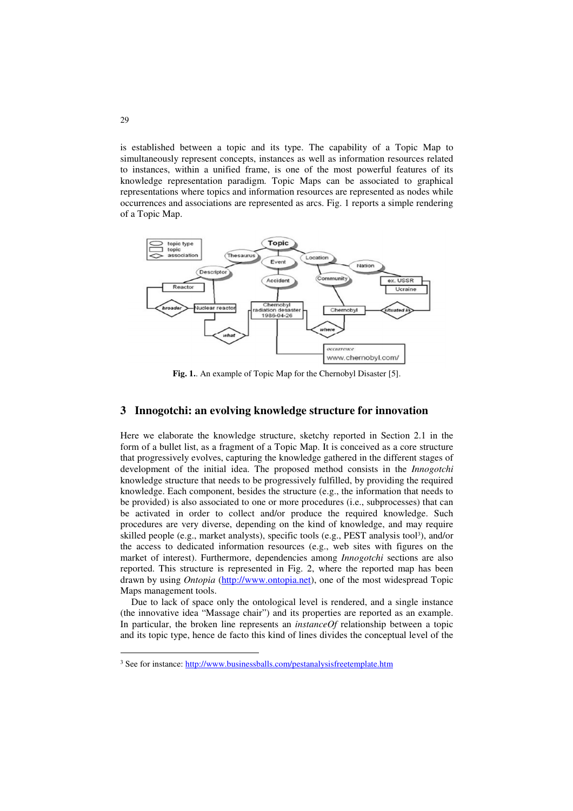is established between a topic and its type. The capability of a Topic Map to simultaneously represent concepts, instances as well as information resources related to instances, within a unified frame, is one of the most powerful features of its knowledge representation paradigm. Topic Maps can be associated to graphical representations where topics and information resources are represented as nodes while occurrences and associations are represented as arcs. Fig. 1 reports a simple rendering of a Topic Map.



**Fig. 1.**. An example of Topic Map for the Chernobyl Disaster [5].

### **3 Innogotchi: an evolving knowledge structure for innovation**

Here we elaborate the knowledge structure, sketchy reported in Section 2.1 in the form of a bullet list, as a fragment of a Topic Map. It is conceived as a core structure that progressively evolves, capturing the knowledge gathered in the different stages of development of the initial idea. The proposed method consists in the *Innogotchi* knowledge structure that needs to be progressively fulfilled, by providing the required knowledge. Each component, besides the structure (e.g., the information that needs to be provided) is also associated to one or more procedures (i.e., subprocesses) that can be activated in order to collect and/or produce the required knowledge. Such procedures are very diverse, depending on the kind of knowledge, and may require skilled people (e.g., market analysts), specific tools (e.g., PEST analysis tool<sup>3</sup>), and/or the access to dedicated information resources (e.g., web sites with figures on the market of interest). Furthermore, dependencies among *Innogotchi* sections are also reported. This structure is represented in Fig. 2, where the reported map has been drawn by using *Ontopia* (http://www.ontopia.net), one of the most widespread Topic Maps management tools.

Due to lack of space only the ontological level is rendered, and a single instance (the innovative idea "Massage chair") and its properties are reported as an example. In particular, the broken line represents an *instanceOf* relationship between a topic and its topic type, hence de facto this kind of lines divides the conceptual level of the

 $\overline{a}$ 

<sup>&</sup>lt;sup>3</sup> See for instance: http://www.businessballs.com/pestanalysisfreetemplate.htm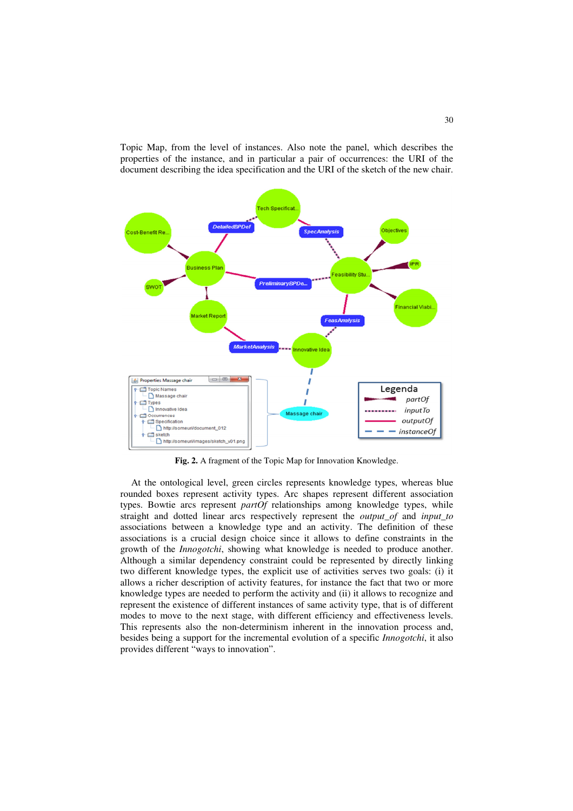Topic Map, from the level of instances. Also note the panel, which describes the properties of the instance, and in particular a pair of occurrences: the URI of the document describing the idea specification and the URI of the sketch of the new chair.



**Fig. 2.** A fragment of the Topic Map for Innovation Knowledge.

At the ontological level, green circles represents knowledge types, whereas blue rounded boxes represent activity types. Arc shapes represent different association types. Bowtie arcs represent *partOf* relationships among knowledge types, while straight and dotted linear arcs respectively represent the *output\_of* and *input\_to* associations between a knowledge type and an activity. The definition of these associations is a crucial design choice since it allows to define constraints in the growth of the *Innogotchi*, showing what knowledge is needed to produce another. Although a similar dependency constraint could be represented by directly linking two different knowledge types, the explicit use of activities serves two goals: (i) it allows a richer description of activity features, for instance the fact that two or more knowledge types are needed to perform the activity and (ii) it allows to recognize and represent the existence of different instances of same activity type, that is of different modes to move to the next stage, with different efficiency and effectiveness levels. This represents also the non-determinism inherent in the innovation process and, besides being a support for the incremental evolution of a specific *Innogotchi*, it also provides different "ways to innovation".